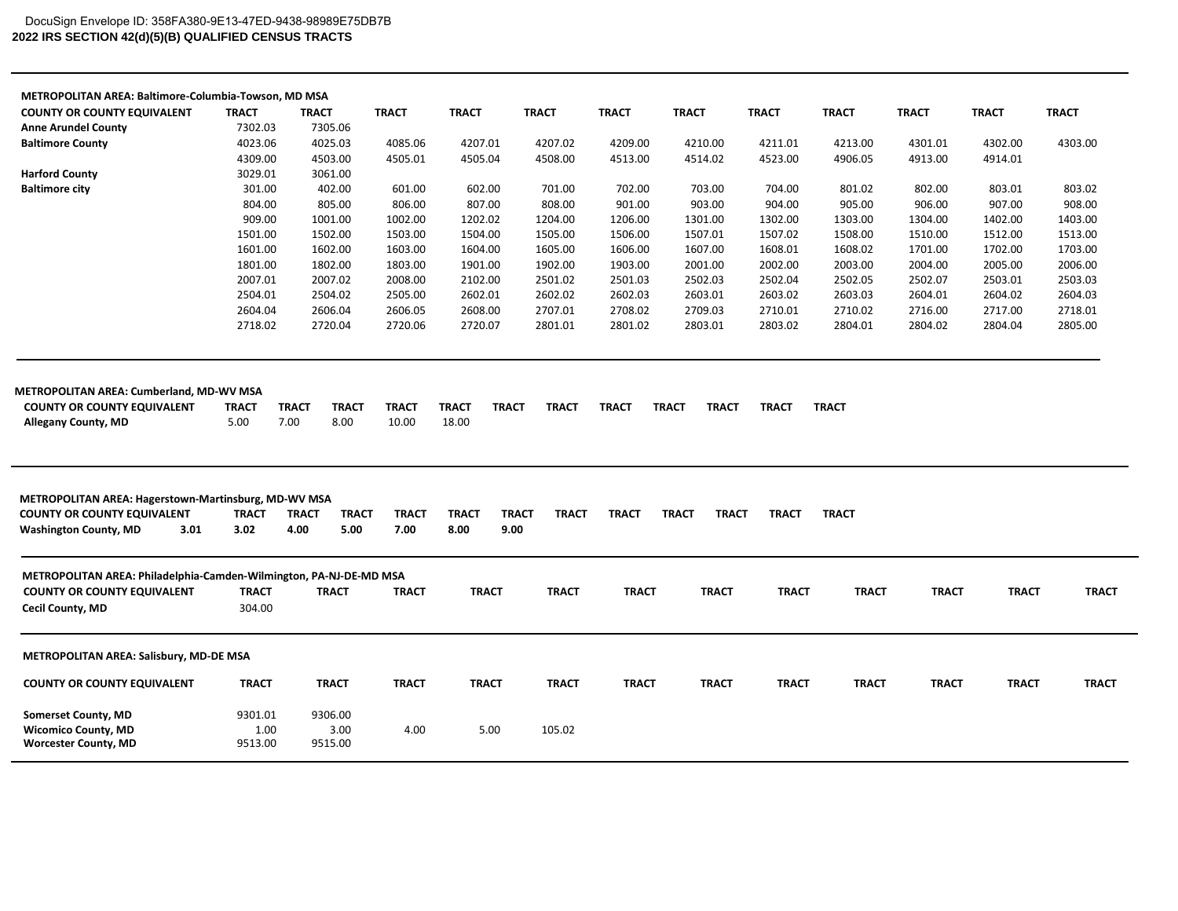## **2022 IRS SECTION 42(d)(5)(B) QUALIFIED CENSUS TRACTS** DocuSign Envelope ID: 358FA380-9E13-47ED-9438-98989E75DB7B

| METROPOLITAN AREA: Baltimore-Columbia-Towson, MD MSA                                                     |                 |                              |              |              |                              |              |                              |              |              |              |              |              |
|----------------------------------------------------------------------------------------------------------|-----------------|------------------------------|--------------|--------------|------------------------------|--------------|------------------------------|--------------|--------------|--------------|--------------|--------------|
| <b>COUNTY OR COUNTY EQUIVALENT</b>                                                                       | <b>TRACT</b>    | <b>TRACT</b>                 | <b>TRACT</b> | <b>TRACT</b> | <b>TRACT</b>                 | <b>TRACT</b> | <b>TRACT</b>                 | <b>TRACT</b> | <b>TRACT</b> | <b>TRACT</b> | <b>TRACT</b> | <b>TRACT</b> |
| <b>Anne Arundel County</b>                                                                               | 7302.03         | 7305.06                      |              |              |                              |              |                              |              |              |              |              |              |
| <b>Baltimore County</b>                                                                                  | 4023.06         | 4025.03                      | 4085.06      | 4207.01      | 4207.02                      | 4209.00      | 4210.00                      | 4211.01      | 4213.00      | 4301.01      | 4302.00      | 4303.00      |
|                                                                                                          | 4309.00         | 4503.00                      | 4505.01      | 4505.04      | 4508.00                      | 4513.00      | 4514.02                      | 4523.00      | 4906.05      | 4913.00      | 4914.01      |              |
| <b>Harford County</b>                                                                                    | 3029.01         | 3061.00                      |              |              |                              |              |                              |              |              |              |              |              |
| <b>Baltimore city</b>                                                                                    | 301.00          | 402.00                       | 601.00       | 602.00       | 701.00                       | 702.00       | 703.00                       | 704.00       | 801.02       | 802.00       | 803.01       | 803.02       |
|                                                                                                          | 804.00          | 805.00                       | 806.00       | 807.00       | 808.00                       | 901.00       | 903.00                       | 904.00       | 905.00       | 906.00       | 907.00       | 908.00       |
|                                                                                                          | 909.00          | 1001.00                      | 1002.00      | 1202.02      | 1204.00                      | 1206.00      | 1301.00                      | 1302.00      | 1303.00      | 1304.00      | 1402.00      | 1403.00      |
|                                                                                                          | 1501.00         | 1502.00                      | 1503.00      | 1504.00      | 1505.00                      | 1506.00      | 1507.01                      | 1507.02      | 1508.00      | 1510.00      | 1512.00      | 1513.00      |
|                                                                                                          | 1601.00         | 1602.00                      | 1603.00      | 1604.00      | 1605.00                      | 1606.00      | 1607.00                      | 1608.01      | 1608.02      | 1701.00      | 1702.00      | 1703.00      |
|                                                                                                          | 1801.00         | 1802.00                      | 1803.00      | 1901.00      | 1902.00                      | 1903.00      | 2001.00                      | 2002.00      | 2003.00      | 2004.00      | 2005.00      | 2006.00      |
|                                                                                                          | 2007.01         | 2007.02                      | 2008.00      | 2102.00      | 2501.02                      | 2501.03      | 2502.03                      | 2502.04      | 2502.05      | 2502.07      | 2503.01      | 2503.03      |
|                                                                                                          | 2504.01         | 2504.02                      | 2505.00      | 2602.01      | 2602.02                      | 2602.03      | 2603.01                      | 2603.02      | 2603.03      | 2604.01      | 2604.02      | 2604.03      |
|                                                                                                          | 2604.04         | 2606.04                      | 2606.05      | 2608.00      | 2707.01                      | 2708.02      | 2709.03                      | 2710.01      | 2710.02      | 2716.00      | 2717.00      | 2718.01      |
|                                                                                                          | 2718.02         | 2720.04                      | 2720.06      | 2720.07      | 2801.01                      | 2801.02      | 2803.01                      | 2803.02      | 2804.01      | 2804.02      | 2804.04      | 2805.00      |
| <b>METROPOLITAN AREA: Hagerstown-Martinsburg, MD-WV MSA</b><br><b>COUNTY OR COUNTY EQUIVALENT</b>        | <b>TRACT</b>    | <b>TRACT</b><br><b>TRACT</b> | <b>TRACT</b> | <b>TRACT</b> | <b>TRACT</b><br><b>TRACT</b> | <b>TRACT</b> | <b>TRACT</b><br><b>TRACT</b> | <b>TRACT</b> | <b>TRACT</b> |              |              |              |
| <b>Washington County, MD</b><br>3.01                                                                     | 3.02            | 4.00<br>5.00                 | 7.00         | 8.00         | 9.00                         |              |                              |              |              |              |              |              |
| METROPOLITAN AREA: Philadelphia-Camden-Wilmington, PA-NJ-DE-MD MSA<br><b>COUNTY OR COUNTY EQUIVALENT</b> | <b>TRACT</b>    | <b>TRACT</b>                 | <b>TRACT</b> | <b>TRACT</b> | <b>TRACT</b>                 | <b>TRACT</b> | <b>TRACT</b>                 | <b>TRACT</b> | <b>TRACT</b> | <b>TRACT</b> | <b>TRACT</b> | <b>TRACT</b> |
| <b>Cecil County, MD</b>                                                                                  | 304.00          |                              |              |              |                              |              |                              |              |              |              |              |              |
| <b>METROPOLITAN AREA: Salisbury, MD-DE MSA</b>                                                           |                 |                              |              |              |                              |              |                              |              |              |              |              |              |
| <b>COUNTY OR COUNTY EQUIVALENT</b>                                                                       | <b>TRACT</b>    | <b>TRACT</b>                 | <b>TRACT</b> | <b>TRACT</b> | <b>TRACT</b>                 | <b>TRACT</b> | <b>TRACT</b>                 | <b>TRACT</b> | <b>TRACT</b> | <b>TRACT</b> | <b>TRACT</b> | <b>TRACT</b> |
| <b>Somerset County, MD</b>                                                                               | 9301.01         | 9306.00                      |              |              |                              |              |                              |              |              |              |              |              |
| <b>Wicomico County, MD</b><br><b>Worcester County, MD</b>                                                | 1.00<br>9513.00 | 3.00<br>9515.00              | 4.00         | 5.00         | 105.02                       |              |                              |              |              |              |              |              |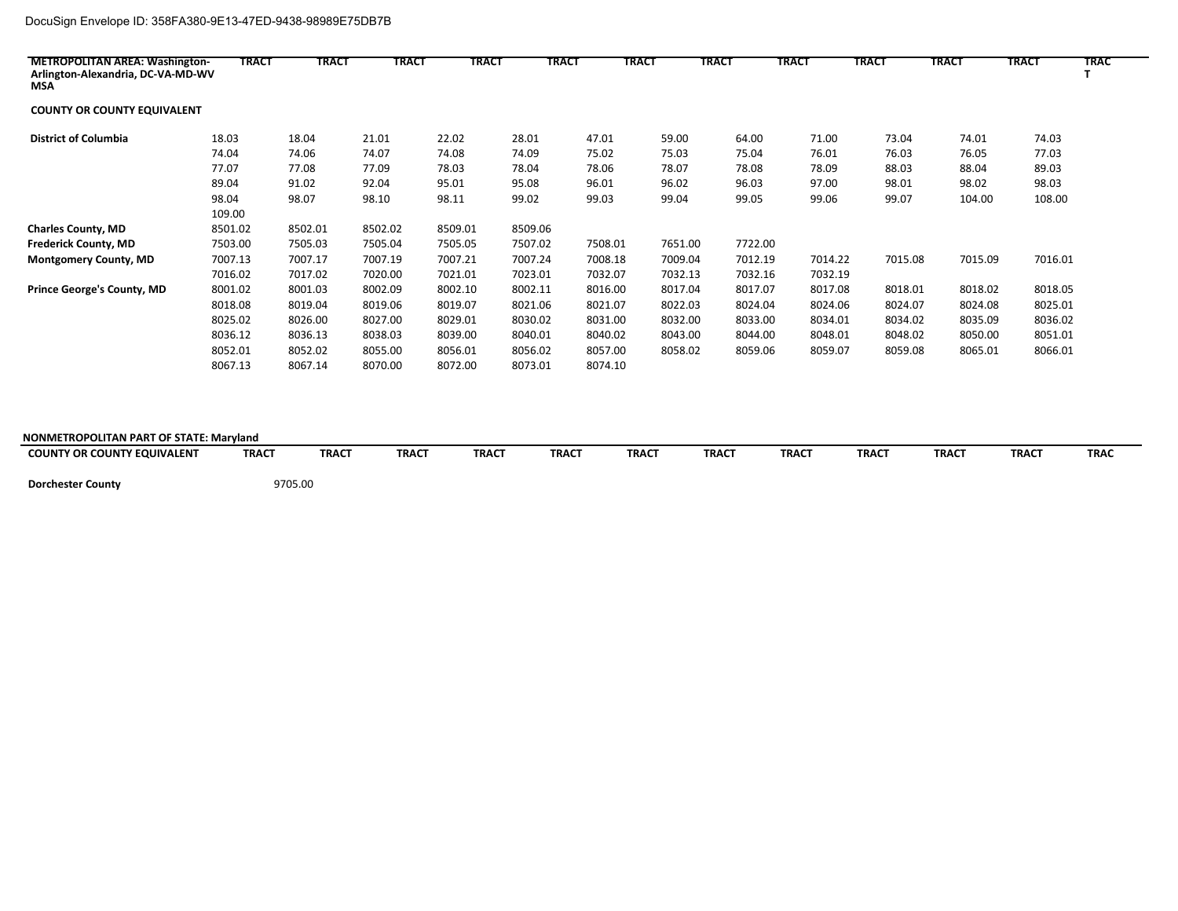## DocuSign Envelope ID: 358FA380-9E13-47ED-9438-98989E75DB7B

| <b>METROPOLITAN AREA: Washington-</b><br>Arlington-Alexandria, DC-VA-MD-WV<br>MSA | <b>TRACT</b> | <b>TRACT</b> | <b>TRACT</b> | TRACT   | TRACT   |         | TRACT   | <b>TRACT</b> | TRACT   | <b>TRACT</b> | TRACT   | TRACT   | <b>TRAC</b> |
|-----------------------------------------------------------------------------------|--------------|--------------|--------------|---------|---------|---------|---------|--------------|---------|--------------|---------|---------|-------------|
| <b>COUNTY OR COUNTY EQUIVALENT</b>                                                |              |              |              |         |         |         |         |              |         |              |         |         |             |
| <b>District of Columbia</b>                                                       | 18.03        | 18.04        | 21.01        | 22.02   | 28.01   | 47.01   | 59.00   | 64.00        | 71.00   | 73.04        | 74.01   | 74.03   |             |
|                                                                                   | 74.04        | 74.06        | 74.07        | 74.08   | 74.09   | 75.02   | 75.03   | 75.04        | 76.01   | 76.03        | 76.05   | 77.03   |             |
|                                                                                   | 77.07        | 77.08        | 77.09        | 78.03   | 78.04   | 78.06   | 78.07   | 78.08        | 78.09   | 88.03        | 88.04   | 89.03   |             |
|                                                                                   | 89.04        | 91.02        | 92.04        | 95.01   | 95.08   | 96.01   | 96.02   | 96.03        | 97.00   | 98.01        | 98.02   | 98.03   |             |
|                                                                                   | 98.04        | 98.07        | 98.10        | 98.11   | 99.02   | 99.03   | 99.04   | 99.05        | 99.06   | 99.07        | 104.00  | 108.00  |             |
|                                                                                   | 109.00       |              |              |         |         |         |         |              |         |              |         |         |             |
| <b>Charles County, MD</b>                                                         | 8501.02      | 8502.01      | 8502.02      | 8509.01 | 8509.06 |         |         |              |         |              |         |         |             |
| <b>Frederick County, MD</b>                                                       | 7503.00      | 7505.03      | 7505.04      | 7505.05 | 7507.02 | 7508.01 | 7651.00 | 7722.00      |         |              |         |         |             |
| <b>Montgomery County, MD</b>                                                      | 7007.13      | 7007.17      | 7007.19      | 7007.21 | 7007.24 | 7008.18 | 7009.04 | 7012.19      | 7014.22 | 7015.08      | 7015.09 | 7016.01 |             |
|                                                                                   | 7016.02      | 7017.02      | 7020.00      | 7021.01 | 7023.01 | 7032.07 | 7032.13 | 7032.16      | 7032.19 |              |         |         |             |
| <b>Prince George's County, MD</b>                                                 | 8001.02      | 8001.03      | 8002.09      | 8002.10 | 8002.11 | 8016.00 | 8017.04 | 8017.07      | 8017.08 | 8018.01      | 8018.02 | 8018.05 |             |
|                                                                                   | 8018.08      | 8019.04      | 8019.06      | 8019.07 | 8021.06 | 8021.07 | 8022.03 | 8024.04      | 8024.06 | 8024.07      | 8024.08 | 8025.01 |             |
|                                                                                   | 8025.02      | 8026.00      | 8027.00      | 8029.01 | 8030.02 | 8031.00 | 8032.00 | 8033.00      | 8034.01 | 8034.02      | 8035.09 | 8036.02 |             |
|                                                                                   | 8036.12      | 8036.13      | 8038.03      | 8039.00 | 8040.01 | 8040.02 | 8043.00 | 8044.00      | 8048.01 | 8048.02      | 8050.00 | 8051.01 |             |
|                                                                                   | 8052.01      | 8052.02      | 8055.00      | 8056.01 | 8056.02 | 8057.00 | 8058.02 | 8059.06      | 8059.07 | 8059.08      | 8065.01 | 8066.01 |             |
|                                                                                   | 8067.13      | 8067.14      | 8070.00      | 8072.00 | 8073.01 | 8074.10 |         |              |         |              |         |         |             |

## **NONMETROPOLITAN PART OF STATE: Maryland**

| Y OR COUNTY EQUIVALENT<br><b>COUNTY</b> | <b>TRACT</b> | <b>TRACT</b> | <b>TRACT</b> | <b>TRACT</b> | <b>TRAC1</b> | <b>TRACT</b> | <b>TRACT</b> | <b>TRACT</b> | <b>TRACT</b> | TRAC <sub>1</sub> | <b>TRACT</b> | <b>TRAC</b> |
|-----------------------------------------|--------------|--------------|--------------|--------------|--------------|--------------|--------------|--------------|--------------|-------------------|--------------|-------------|
|                                         |              |              |              |              |              |              |              |              |              |                   |              |             |

 **Dorchester County** 9705.00